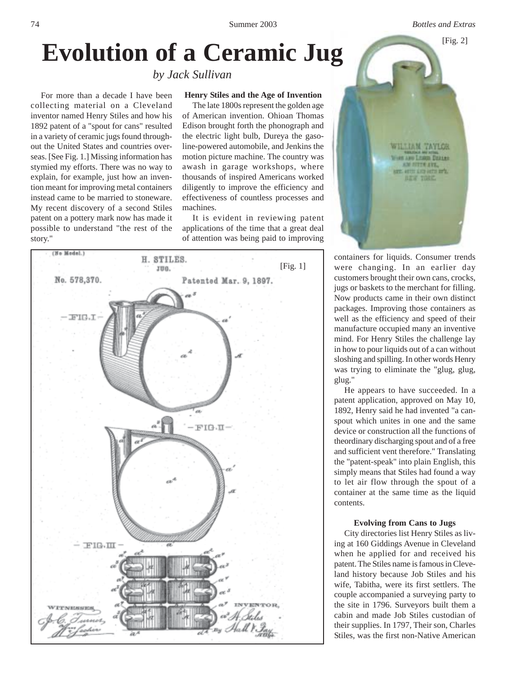# Evolution of a Ceramic Jug

*by Jack Sullivan*

## **Henry Stiles and the Age of Invention**

For more than a decade I have been collecting material on a Cleveland inventor named Henry Stiles and how his 1892 patent of a "spout for cans" resulted in a variety of ceramic jugs found throughout the United States and countries overseas. [See Fig. 1.] Missing information has stymied my efforts. There was no way to explain, for example, just how an invention meant for improving metal containers instead came to be married to stoneware. My recent discovery of a second Stiles patent on a pottery mark now has made it possible to understand "the rest of the story."

The late 1800s represent the golden age of American invention. Ohioan Thomas Edison brought forth the phonograph and the electric light bulb, Dureya the gasoline-powered automobile, and Jenkins the motion picture machine. The country was awash in garage workshops, where thousands of inspired Americans worked diligently to improve the efficiency and effectiveness of countless processes and machines.

It is evident in reviewing patent applications of the time that a great deal of attention was being paid to improving





containers for liquids. Consumer trends were changing. In an earlier day customers brought their own cans, crocks, jugs or baskets to the merchant for filling. Now products came in their own distinct packages. Improving those containers as well as the efficiency and speed of their manufacture occupied many an inventive mind. For Henry Stiles the challenge lay in how to pour liquids out of a can without sloshing and spilling. In other words Henry was trying to eliminate the "glug, glug, glug."

He appears to have succeeded. In a patent application, approved on May 10, 1892, Henry said he had invented "a canspout which unites in one and the same device or construction all the functions of theordinary discharging spout and of a free and sufficient vent therefore." Translating the "patent-speak" into plain English, this simply means that Stiles had found a way to let air flow through the spout of a container at the same time as the liquid contents.

## **Evolving from Cans to Jugs**

City directories list Henry Stiles as living at 160 Giddings Avenue in Cleveland when he applied for and received his patent. The Stiles name is famous in Cleveland history because Job Stiles and his wife, Tabitha, were its first settlers. The couple accompanied a surveying party to the site in 1796. Surveyors built them a cabin and made Job Stiles custodian of their supplies. In 1797, Their son, Charles Stiles, was the first non-Native American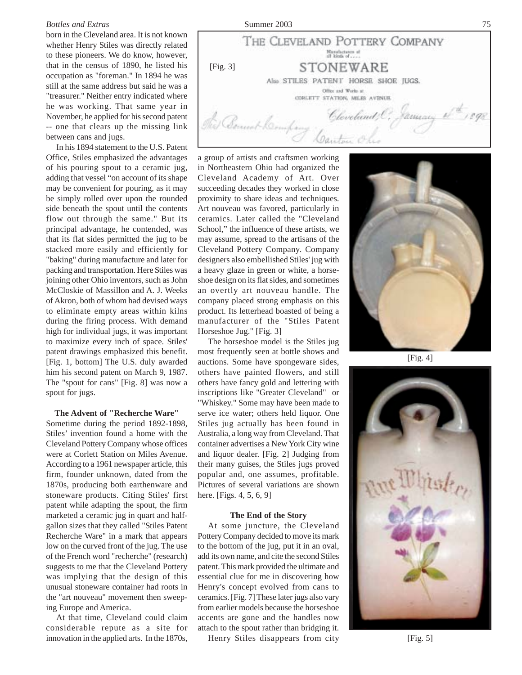### *Bottles and Extras* Summer 2003 75

born in the Cleveland area. It is not known whether Henry Stiles was directly related to these pioneers. We do know, however, that in the census of 1890, he listed his occupation as "foreman." In 1894 he was still at the same address but said he was a "treasurer." Neither entry indicated where he was working. That same year in November, he applied for his second patent -- one that clears up the missing link between cans and jugs.

In his 1894 statement to the U.S. Patent Office, Stiles emphasized the advantages of his pouring spout to a ceramic jug, adding that vessel "on account of its shape may be convenient for pouring, as it may be simply rolled over upon the rounded side beneath the spout until the contents flow out through the same." But its principal advantage, he contended, was that its flat sides permitted the jug to be stacked more easily and efficiently for "baking" during manufacture and later for packing and transportation. Here Stiles was joining other Ohio inventors, such as John McCloskie of Massillon and A. J. Weeks of Akron, both of whom had devised ways to eliminate empty areas within kilns during the firing process. With demand high for individual jugs, it was important to maximize every inch of space. Stiles' patent drawings emphasized this benefit. [Fig. 1, bottom] The U.S. duly awarded him his second patent on March 9, 1987. The "spout for cans" [Fig. 8] was now a spout for jugs.

**The Advent of "Recherche Ware"** Sometime during the period 1892-1898, Stiles' invention found a home with the Cleveland Pottery Company whose offices were at Corlett Station on Miles Avenue. According to a 1961 newspaper article, this firm, founder unknown, dated from the 1870s, producing both earthenware and stoneware products. Citing Stiles' first patent while adapting the spout, the firm marketed a ceramic jug in quart and halfgallon sizes that they called "Stiles Patent Recherche Ware" in a mark that appears low on the curved front of the jug. The use of the French word "recherche" (research) suggests to me that the Cleveland Pottery was implying that the design of this unusual stoneware container had roots in the "art nouveau" movement then sweeping Europe and America.

At that time, Cleveland could claim considerable repute as a site for innovation in the applied arts. In the 1870s,



a group of artists and craftsmen working in Northeastern Ohio had organized the Cleveland Academy of Art. Over succeeding decades they worked in close proximity to share ideas and techniques. Art nouveau was favored, particularly in ceramics. Later called the "Cleveland School," the influence of these artists, we may assume, spread to the artisans of the Cleveland Pottery Company. Company designers also embellished Stiles' jug with a heavy glaze in green or white, a horseshoe design on its flat sides, and sometimes an overtly art nouveau handle. The company placed strong emphasis on this product. Its letterhead boasted of being a manufacturer of the "Stiles Patent Horseshoe Jug." [Fig. 3]

The horseshoe model is the Stiles jug most frequently seen at bottle shows and auctions. Some have spongeware sides, others have painted flowers, and still others have fancy gold and lettering with inscriptions like "Greater Cleveland" or "Whiskey." Some may have been made to serve ice water; others held liquor. One Stiles jug actually has been found in Australia, a long way from Cleveland. That container advertises a New York City wine and liquor dealer. [Fig. 2] Judging from their many guises, the Stiles jugs proved popular and, one assumes, profitable. Pictures of several variations are shown here. [Figs. 4, 5, 6, 9]

#### **The End of the Story**

At some juncture, the Cleveland Pottery Company decided to move its mark to the bottom of the jug, put it in an oval, add its own name, and cite the second Stiles patent. This mark provided the ultimate and essential clue for me in discovering how Henry's concept evolved from cans to ceramics. [Fig. 7] These later jugs also vary from earlier models because the horseshoe accents are gone and the handles now attach to the spout rather than bridging it.

Henry Stiles disappears from city



 $[Fig. 4]$ 



[Fig. 5]